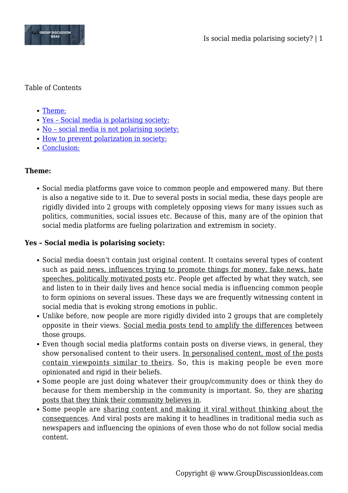

## Table of Contents

- [Theme:](#page--1-0)
- [Yes Social media is polarising society:](#page--1-0)
- [No social media is not polarising society:](#page--1-0)
- [How to prevent polarization in society:](#page--1-0)
- [Conclusion:](#page--1-0)

# **Theme:**

Social media platforms gave voice to common people and empowered many. But there is also a negative side to it. Due to several posts in social media, these days people are rigidly divided into 2 groups with completely opposing views for many issues such as politics, communities, social issues etc. Because of this, many are of the opinion that social media platforms are fueling polarization and extremism in society.

# **Yes – Social media is polarising society:**

- Social media doesn't contain just original content. It contains several types of content such as paid news, influences trying to promote things for money, fake news, hate speeches, politically motivated posts etc. People get affected by what they watch, see and listen to in their daily lives and hence social media is influencing common people to form opinions on several issues. These days we are frequently witnessing content in social media that is evoking strong emotions in public.
- Unlike before, now people are more rigidly divided into 2 groups that are completely opposite in their views. Social media posts tend to amplify the differences between those groups.
- Even though social media platforms contain posts on diverse views, in general, they show personalised content to their users. In personalised content, most of the posts contain viewpoints similar to theirs. So, this is making people be even more opinionated and rigid in their beliefs.
- Some people are just doing whatever their group/community does or think they do because for them membership in the community is important. So, they are sharing posts that they think their community believes in.
- Some people are sharing content and making it viral without thinking about the consequences. And viral posts are making it to headlines in traditional media such as newspapers and influencing the opinions of even those who do not follow social media content.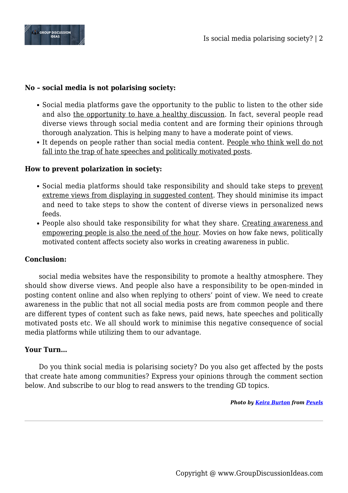

## **No – social media is not polarising society:**

- Social media platforms gave the opportunity to the public to listen to the other side and also the opportunity to have a healthy discussion. In fact, several people read diverse views through social media content and are forming their opinions through thorough analyzation. This is helping many to have a moderate point of views.
- It depends on people rather than social media content. People who think well do not fall into the trap of hate speeches and politically motivated posts.

## **How to prevent polarization in society:**

- Social media platforms should take responsibility and should take steps to prevent extreme views from displaying in suggested content. They should minimise its impact and need to take steps to show the content of diverse views in personalized news feeds.
- People also should take responsibility for what they share. Creating awareness and empowering people is also the need of the hour. Movies on how fake news, politically motivated content affects society also works in creating awareness in public.

#### **Conclusion:**

social media websites have the responsibility to promote a healthy atmosphere. They should show diverse views. And people also have a responsibility to be open-minded in posting content online and also when replying to others' point of view. We need to create awareness in the public that not all social media posts are from common people and there are different types of content such as fake news, paid news, hate speeches and politically motivated posts etc. We all should work to minimise this negative consequence of social media platforms while utilizing them to our advantage.

## **Your Turn…**

Do you think social media is polarising society? Do you also get affected by the posts that create hate among communities? Express your opinions through the comment section below. And subscribe to our blog to read answers to the trending GD topics.

*Photo by [Keira Burton](https://www.pexels.com/@keira-burton?utm_content=attributionCopyText&utm_medium=referral&utm_source=pexels) from [Pexels](https://www.pexels.com/photo/multiracial-students-having-argument-on-city-street-6147403/?utm_content=attributionCopyText&utm_medium=referral&utm_source=pexels)*